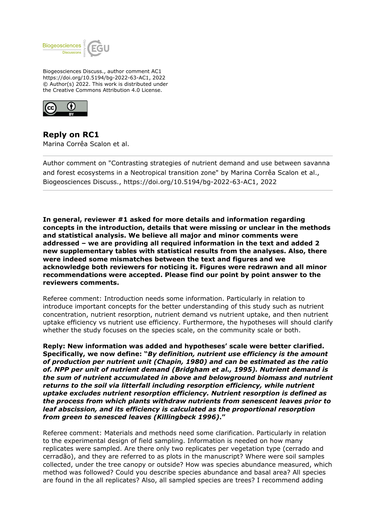

Biogeosciences Discuss., author comment AC1 https://doi.org/10.5194/bg-2022-63-AC1, 2022 © Author(s) 2022. This work is distributed under the Creative Commons Attribution 4.0 License.



**Reply on RC1** Marina Corrêa Scalon et al.

Author comment on "Contrasting strategies of nutrient demand and use between savanna and forest ecosystems in a Neotropical transition zone" by Marina Corrêa Scalon et al., Biogeosciences Discuss., https://doi.org/10.5194/bg-2022-63-AC1, 2022

**In general, reviewer #1 asked for more details and information regarding concepts in the introduction, details that were missing or unclear in the methods and statistical analysis. We believe all major and minor comments were addressed – we are providing all required information in the text and added 2 new supplementary tables with statistical results from the analyses. Also, there were indeed some mismatches between the text and figures and we acknowledge both reviewers for noticing it. Figures were redrawn and all minor recommendations were accepted. Please find our point by point answer to the reviewers comments.** 

Referee comment: Introduction needs some information. Particularly in relation to introduce important concepts for the better understanding of this study such as nutrient concentration, nutrient resorption, nutrient demand vs nutrient uptake, and then nutrient uptake efficiency vs nutrient use efficiency. Furthermore, the hypotheses will should clarify whether the study focuses on the species scale, on the community scale or both.

**Reply: New information was added and hypotheses' scale were better clarified. Specifically, we now define: "***By definition, nutrient use efficiency is the amount of production per nutrient unit (Chapin, 1980) and can be estimated as the ratio of. NPP per unit of nutrient demand (Bridgham et al., 1995). Nutrient demand is the sum of nutrient accumulated in above and belowground biomass and nutrient returns to the soil via litterfall including resorption efficiency, while nutrient uptake excludes nutrient resorption efficiency. Nutrient resorption is defined as the process from which plants withdraw nutrients from senescent leaves prior to leaf abscission, and its efficiency is calculated as the proportional resorption from green to senesced leaves (Killingbeck 1996)***."**

Referee comment: Materials and methods need some clarification. Particularly in relation to the experimental design of field sampling. Information is needed on how many replicates were sampled. Are there only two replicates per vegetation type (cerrado and cerradão), and they are referred to as plots in the manuscript? Where were soil samples collected, under the tree canopy or outside? How was species abundance measured, which method was followed? Could you describe species abundance and basal area? All species are found in the all replicates? Also, all sampled species are trees? I recommend adding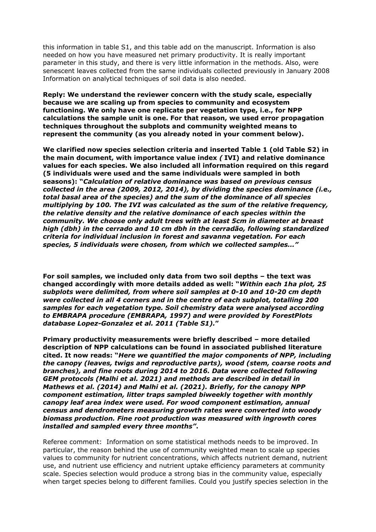this information in table S1, and this table add on the manuscript. Information is also needed on how you have measured net primary productivity. It is really important parameter in this study, and there is very little information in the methods. Also, were senescent leaves collected from the same individuals collected previously in January 2008 Information on analytical techniques of soil data is also needed.

**Reply: We understand the reviewer concern with the study scale, especially because we are scaling up from species to community and ecosystem functioning. We only have one replicate per vegetation type, i.e., for NPP calculations the sample unit is one. For that reason, we used error propagation techniques throughout the subplots and community weighted means to represent the community (as you already noted in your comment below).**

**We clarified now species selection criteria and inserted Table 1 (old Table S2) in the main document, with importance value index** *(* **IVI) and relative dominance values for each species. We also included all information required on this regard (5 individuals were used and the same individuals were sampled in both seasons): "***Calculation of relative dominance was based on previous census collected in the area (2009, 2012, 2014), by dividing the species dominance (i.e., total basal area of the species) and the sum of the dominance of all species multiplying by 100. The IVI was calculated as the sum of the relative frequency, the relative density and the relative dominance of each species within the community. We choose only adult trees with at least 5cm in diameter at breast high (dbh) in the cerrado and 10 cm dbh in the cerradão, following standardized criteria for individual inclusion in forest and savanna vegetation. For each species, 5 individuals were chosen, from which we collected samples…"*

**For soil samples, we included only data from two soil depths – the text was changed accordingly with more details added as well: "***Within each 1ha plot, 25 subplots were delimited, from where soil samples at 0-10 and 10-20 cm depth were collected in all 4 corners and in the centre of each subplot, totalling 200 samples for each vegetation type. Soil chemistry data were analysed according to EMBRAPA procedure (EMBRAPA, 1997) and were provided by ForestPlots database Lopez-Gonzalez et al. 2011 (Table S1).***"**

**Primary productivity measurements were briefly described – more detailed description of NPP calculations can be found in associated published literature cited. It now reads: "***Here we quantified the major components of NPP, including the canopy (leaves, twigs and reproductive parts), wood (stem, coarse roots and branches), and fine roots during 2014 to 2016. Data were collected following GEM protocols (Malhi et al. 2021) and methods are described in detail in Mathews et al. (2014) and Malhi et al. (2021). Briefly, for the canopy NPP component estimation, litter traps sampled biweekly together with monthly canopy leaf area index were used. For wood component estimation, annual census and dendrometers measuring growth rates were converted into woody biomass production. Fine root production was measured with ingrowth cores installed and sampled every three months"***.**

Referee comment: Information on some statistical methods needs to be improved. In particular, the reason behind the use of community weighted mean to scale up species values to community for nutrient concentrations, which affects nutrient demand, nutrient use, and nutrient use efficiency and nutrient uptake efficiency parameters at community scale. Species selection would produce a strong bias in the community value, especially when target species belong to different families. Could you justify species selection in the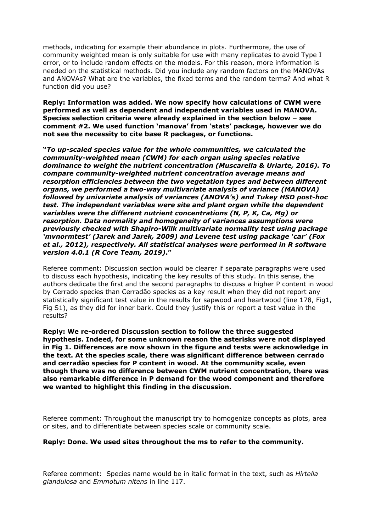methods, indicating for example their abundance in plots. Furthermore, the use of community weighted mean is only suitable for use with many replicates to avoid Type I error, or to include random effects on the models. For this reason, more information is needed on the statistical methods. Did you include any random factors on the MANOVAs and ANOVAs? What are the variables, the fixed terms and the random terms? And what R function did you use?

**Reply: Information was added. We now specify how calculations of CWM were performed as well as dependent and independent variables used in MANOVA. Species selection criteria were already explained in the section below – see comment #2. We used function 'manova' from 'stats' package, however we do not see the necessity to cite base R packages, or functions.**

**"***To up-scaled species value for the whole communities, we calculated the community-weighted mean (CWM) for each organ using species relative dominance to weight the nutrient concentration (Muscarella & Uriarte, 2016). To compare community-weighted nutrient concentration average means and resorption efficiencies between the two vegetation types and between different organs, we performed a two-way multivariate analysis of variance (MANOVA) followed by univariate analysis of variances (ANOVA's) and Tukey HSD post-hoc test. The independent variables were site and plant organ while the dependent variables were the different nutrient concentrations (N, P, K, Ca, Mg) or resorption. Data normality and homogeneity of variances assumptions were previously checked with Shapiro-Wilk multivariate normality test using package 'mvnormtest' (Jarek and Jarek, 2009) and Levene test using package 'car' (Fox et al., 2012), respectively. All statistical analyses were performed in R software version 4.0.1 (R Core Team, 2019)***."**

Referee comment: Discussion section would be clearer if separate paragraphs were used to discuss each hypothesis, indicating the key results of this study. In this sense, the authors dedicate the first and the second paragraphs to discuss a higher P content in wood by Cerrado species than Cerradão species as a key result when they did not report any statistically significant test value in the results for sapwood and heartwood (line 178, Fig1, Fig S1), as they did for inner bark. Could they justify this or report a test value in the results?

**Reply: We re-ordered Discussion section to follow the three suggested hypothesis. Indeed, for some unknown reason the asterisks were not displayed in Fig 1. Differences are now shown in the figure and tests were acknowledge in the text. At the species scale, there was significant difference between cerrado and cerradão species for P content in wood. At the community scale, even though there was no difference between CWM nutrient concentration, there was also remarkable difference in P demand for the wood component and therefore we wanted to highlight this finding in the discussion.**

Referee comment: Throughout the manuscript try to homogenize concepts as plots, area or sites, and to differentiate between species scale or community scale.

#### **Reply: Done. We used sites throughout the ms to refer to the community.**

Referee comment: Species name would be in italic format in the text, such as *Hirtella glandulosa* and *Emmotum nitens* in line 117.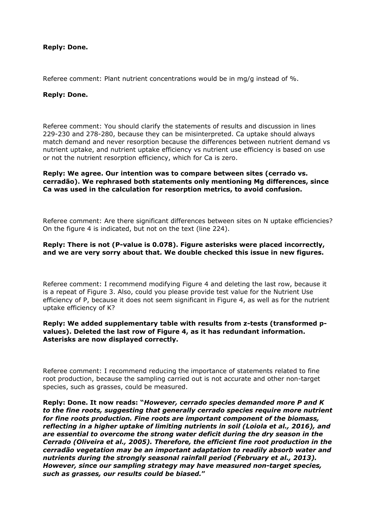#### **Reply: Done.**

Referee comment: Plant nutrient concentrations would be in mg/g instead of %.

## **Reply: Done.**

Referee comment: You should clarify the statements of results and discussion in lines 229-230 and 278-280, because they can be misinterpreted. Ca uptake should always match demand and never resorption because the differences between nutrient demand vs nutrient uptake, and nutrient uptake efficiency vs nutrient use efficiency is based on use or not the nutrient resorption efficiency, which for Ca is zero.

#### **Reply: We agree. Our intention was to compare between sites (cerrado vs. cerradão). We rephrased both statements only mentioning Mg differences, since Ca was used in the calculation for resorption metrics, to avoid confusion.**

Referee comment: Are there significant differences between sites on N uptake efficiencies? On the figure 4 is indicated, but not on the text (line 224).

### **Reply: There is not (P-value is 0.078). Figure asterisks were placed incorrectly, and we are very sorry about that. We double checked this issue in new figures.**

Referee comment: I recommend modifying Figure 4 and deleting the last row, because it is a repeat of Figure 3. Also, could you please provide test value for the Nutrient Use efficiency of P, because it does not seem significant in Figure 4, as well as for the nutrient uptake efficiency of K?

#### **Reply: We added supplementary table with results from z-tests (transformed pvalues). Deleted the last row of Figure 4, as it has redundant information. Asterisks are now displayed correctly.**

Referee comment: I recommend reducing the importance of statements related to fine root production, because the sampling carried out is not accurate and other non-target species, such as grasses, could be measured.

**Reply: Done. It now reads: "***However, cerrado species demanded more P and K to the fine roots, suggesting that generally cerrado species require more nutrient for fine roots production. Fine roots are important component of the biomass, reflecting in a higher uptake of limiting nutrients in soil (Loiola et al., 2016), and are essential to overcome the strong water deficit during the dry season in the Cerrado (Oliveira et al., 2005). Therefore, the efficient fine root production in the cerradão vegetation may be an important adaptation to readily absorb water and nutrients during the strongly seasonal rainfall period (February et al., 2013). However, since our sampling strategy may have measured non-target species, such as grasses, our results could be biased.***"**